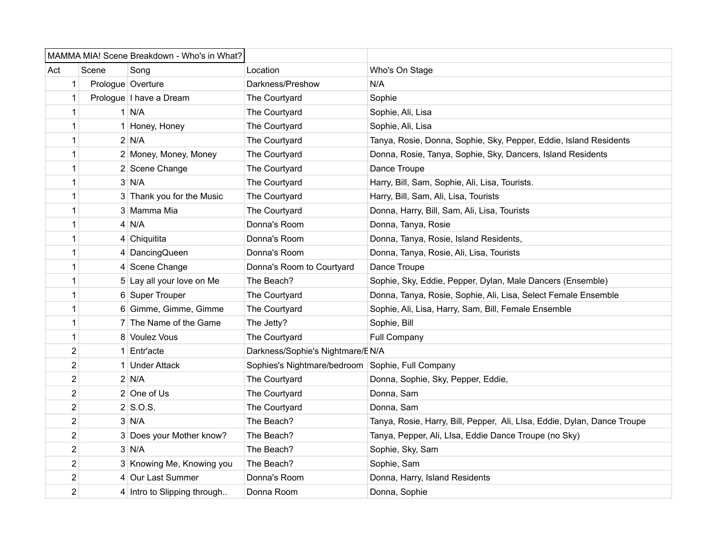| MAMMA MIA! Scene Breakdown - Who's in What? |                         |                             |                                                  |                                                                          |
|---------------------------------------------|-------------------------|-----------------------------|--------------------------------------------------|--------------------------------------------------------------------------|
| Act                                         | Scene                   | Song                        | Location                                         | Who's On Stage                                                           |
|                                             | 1                       | Prologue Overture           | Darkness/Preshow                                 | N/A                                                                      |
|                                             | 1                       | Prologue   I have a Dream   | The Courtyard                                    | Sophie                                                                   |
|                                             | 1                       | $1$ N/A                     | The Courtyard                                    | Sophie, Ali, Lisa                                                        |
|                                             | 1                       | 1 Honey, Honey              | The Courtyard                                    | Sophie, Ali, Lisa                                                        |
|                                             | 1                       | $2$ N/A                     | The Courtyard                                    | Tanya, Rosie, Donna, Sophie, Sky, Pepper, Eddie, Island Residents        |
|                                             | 1                       | 2 Money, Money, Money       | The Courtyard                                    | Donna, Rosie, Tanya, Sophie, Sky, Dancers, Island Residents              |
|                                             | 1                       | 2 Scene Change              | The Courtyard                                    | Dance Troupe                                                             |
|                                             | 1                       | $3$ N/A                     | The Courtyard                                    | Harry, Bill, Sam, Sophie, Ali, Lisa, Tourists.                           |
|                                             | 1                       | 3 Thank you for the Music   | The Courtyard                                    | Harry, Bill, Sam, Ali, Lisa, Tourists                                    |
|                                             | 1                       | 3 Mamma Mia                 | The Courtyard                                    | Donna, Harry, Bill, Sam, Ali, Lisa, Tourists                             |
|                                             | 1                       | $4$ N/A                     | Donna's Room                                     | Donna, Tanya, Rosie                                                      |
|                                             | 1                       | 4 Chiquitita                | Donna's Room                                     | Donna, Tanya, Rosie, Island Residents,                                   |
|                                             | 1                       | 4 DancingQueen              | Donna's Room                                     | Donna, Tanya, Rosie, Ali, Lisa, Tourists                                 |
|                                             | 1                       | 4 Scene Change              | Donna's Room to Courtyard                        | Dance Troupe                                                             |
|                                             | 1                       | 5 Lay all your love on Me   | The Beach?                                       | Sophie, Sky, Eddie, Pepper, Dylan, Male Dancers (Ensemble)               |
|                                             | 1                       | 6 Super Trouper             | The Courtyard                                    | Donna, Tanya, Rosie, Sophie, Ali, Lisa, Select Female Ensemble           |
|                                             | 1                       | 6 Gimme, Gimme, Gimme       | The Courtyard                                    | Sophie, Ali, Lisa, Harry, Sam, Bill, Female Ensemble                     |
|                                             | 1                       | 7 The Name of the Game      | The Jetty?                                       | Sophie, Bill                                                             |
|                                             | 1                       | 8 Voulez Vous               | The Courtyard                                    | Full Company                                                             |
|                                             | 2                       | 1 Entr'acte                 | Darkness/Sophie's Nightmare/E N/A                |                                                                          |
|                                             | 2                       | 1 Under Attack              | Sophies's Nightmare/bedroom Sophie, Full Company |                                                                          |
|                                             | 2                       | $2$ N/A                     | The Courtyard                                    | Donna, Sophie, Sky, Pepper, Eddie,                                       |
|                                             | 2                       | $2$ One of Us               | The Courtyard                                    | Donna, Sam                                                               |
|                                             | 2                       | $2$ S.O.S.                  | The Courtyard                                    | Donna, Sam                                                               |
|                                             | $\overline{\mathbf{c}}$ | $3$ N/A                     | The Beach?                                       | Tanya, Rosie, Harry, Bill, Pepper, Ali, Llsa, Eddie, Dylan, Dance Troupe |
|                                             | 2                       | 3 Does your Mother know?    | The Beach?                                       | Tanya, Pepper, Ali, LIsa, Eddie Dance Troupe (no Sky)                    |
|                                             | 2                       | $3$ N/A                     | The Beach?                                       | Sophie, Sky, Sam                                                         |
|                                             | $\overline{2}$          | 3 Knowing Me, Knowing you   | The Beach?                                       | Sophie, Sam                                                              |
|                                             | 2                       | 4 Our Last Summer           | Donna's Room                                     | Donna, Harry, Island Residents                                           |
|                                             | $\overline{2}$          | 4 Intro to Slipping through | Donna Room                                       | Donna, Sophie                                                            |